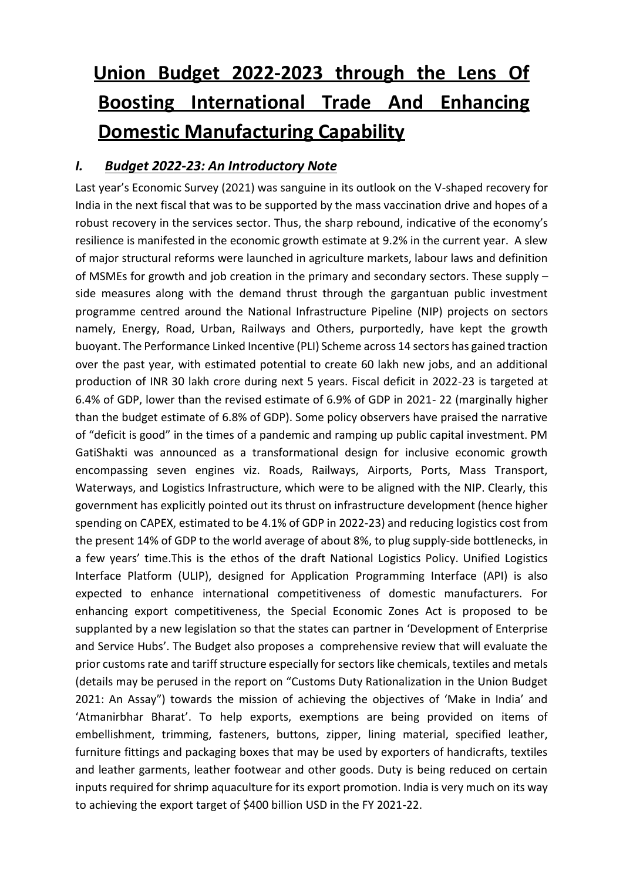# **Union Budget 2022-2023 through the Lens Of Boosting International Trade And Enhancing Domestic Manufacturing Capability**

## *I. Budget 2022-23: An Introductory Note*

Last year's Economic Survey (2021) was sanguine in its outlook on the V-shaped recovery for India in the next fiscal that was to be supported by the mass vaccination drive and hopes of a robust recovery in the services sector. Thus, the sharp rebound, indicative of the economy's resilience is manifested in the economic growth estimate at 9.2% in the current year. A slew of major structural reforms were launched in agriculture markets, labour laws and definition of MSMEs for growth and job creation in the primary and secondary sectors. These supply – side measures along with the demand thrust through the gargantuan public investment programme centred around the National Infrastructure Pipeline (NIP) projects on sectors namely, Energy, Road, Urban, Railways and Others, purportedly, have kept the growth buoyant. The Performance Linked Incentive (PLI) Scheme across 14 sectors has gained traction over the past year, with estimated potential to create 60 lakh new jobs, and an additional production of INR 30 lakh crore during next 5 years. Fiscal deficit in 2022-23 is targeted at 6.4% of GDP, lower than the revised estimate of 6.9% of GDP in 2021- 22 (marginally higher than the budget estimate of 6.8% of GDP). Some policy observers have praised the narrative of "deficit is good" in the times of a pandemic and ramping up public capital investment. PM GatiShakti was announced as a transformational design for inclusive economic growth encompassing seven engines viz. Roads, Railways, Airports, Ports, Mass Transport, Waterways, and Logistics Infrastructure, which were to be aligned with the NIP. Clearly, this government has explicitly pointed out its thrust on infrastructure development (hence higher spending on CAPEX, estimated to be 4.1% of GDP in 2022-23) and reducing logistics cost from the present 14% of GDP to the world average of about 8%, to plug supply-side bottlenecks, in a few years' time.This is the ethos of the draft National Logistics Policy. Unified Logistics Interface Platform (ULIP), designed for Application Programming Interface (API) is also expected to enhance international competitiveness of domestic manufacturers. For enhancing export competitiveness, the Special Economic Zones Act is proposed to be supplanted by a new legislation so that the states can partner in 'Development of Enterprise and Service Hubs'. The Budget also proposes a comprehensive review that will evaluate the prior customs rate and tariff structure especially for sectors like chemicals, textiles and metals (details may be perused in the report on "Customs Duty Rationalization in the Union Budget 2021: An Assay") towards the mission of achieving the objectives of 'Make in India' and 'Atmanirbhar Bharat'. To help exports, exemptions are being provided on items of embellishment, trimming, fasteners, buttons, zipper, lining material, specified leather, furniture fittings and packaging boxes that may be used by exporters of handicrafts, textiles and leather garments, leather footwear and other goods. Duty is being reduced on certain inputs required for shrimp aquaculture for its export promotion. India is very much on its way to achieving the export target of \$400 billion USD in the FY 2021-22.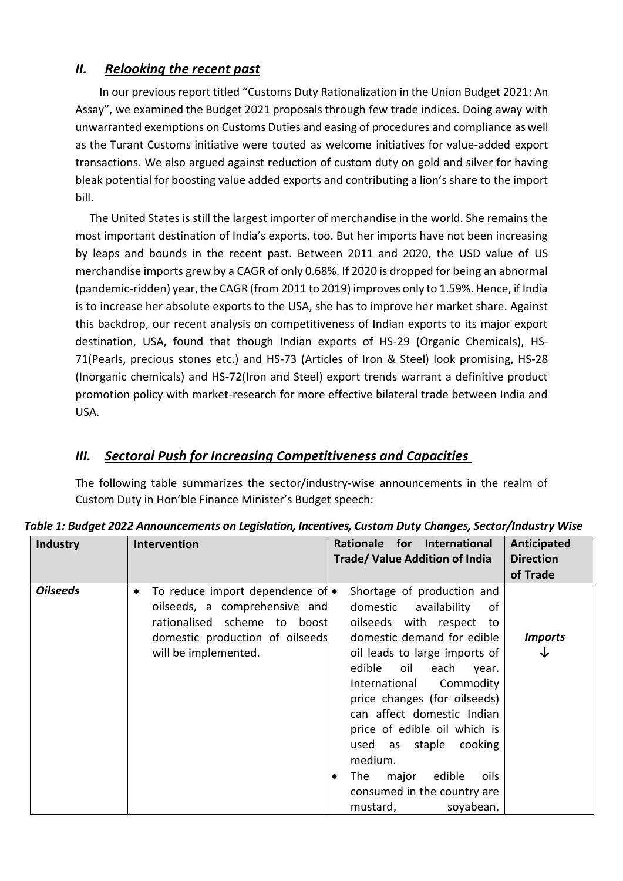#### *II. Relooking the recent past*

In our previous report titled "Customs Duty Rationalization in the Union Budget 2021: An Assay", we examined the Budget 2021 proposals through few trade indices. Doing away with unwarranted exemptions on Customs Duties and easing of procedures and compliance as well as the Turant Customs initiative were touted as welcome initiatives for value-added export transactions. We also argued against reduction of custom duty on gold and silver for having bleak potential for boosting value added exports and contributing a lion's share to the import bill.

 The United States is still the largest importer of merchandise in the world. She remains the most important destination of India's exports, too. But her imports have not been increasing by leaps and bounds in the recent past. Between 2011 and 2020, the USD value of US merchandise imports grew by a CAGR of only 0.68%. If 2020 is dropped for being an abnormal (pandemic-ridden) year, the CAGR (from 2011 to 2019) improves only to 1.59%. Hence, if India is to increase her absolute exports to the USA, she has to improve her market share. Against this backdrop, our recent analysis on competitiveness of Indian exports to its major export destination, USA, found that though Indian exports of HS-29 (Organic Chemicals), HS-71(Pearls, precious stones etc.) and HS-73 (Articles of Iron & Steel) look promising, HS-28 (Inorganic chemicals) and HS-72(Iron and Steel) export trends warrant a definitive product promotion policy with market-research for more effective bilateral trade between India and USA.

## *III. Sectoral Push for Increasing Competitiveness and Capacities*

The following table summarizes the sector/industry-wise announcements in the realm of Custom Duty in Hon'ble Finance Minister's Budget speech:

| <b>Industry</b> | <b>Intervention</b>                                                                                                                                                       | Rationale for International<br><b>Trade/ Value Addition of India</b>                                                                                                                                                                                                                                                                                                                                                                          | Anticipated<br><b>Direction</b><br>of Trade |
|-----------------|---------------------------------------------------------------------------------------------------------------------------------------------------------------------------|-----------------------------------------------------------------------------------------------------------------------------------------------------------------------------------------------------------------------------------------------------------------------------------------------------------------------------------------------------------------------------------------------------------------------------------------------|---------------------------------------------|
| <b>Oilseeds</b> | To reduce import dependence of •<br>$\bullet$<br>oilseeds, a comprehensive and<br>rationalised scheme to boost<br>domestic production of oilseeds<br>will be implemented. | Shortage of production and<br>domestic availability<br>0f<br>oilseeds with respect to<br>domestic demand for edible<br>oil leads to large imports of<br>edible oil each<br>year.<br>International Commodity<br>price changes (for oilseeds)<br>can affect domestic Indian<br>price of edible oil which is<br>used as staple cooking<br>medium.<br>edible<br>The<br>major<br>oils<br>٠<br>consumed in the country are<br>soyabean,<br>mustard, | <i><b>Imports</b></i><br>↓                  |

*Table 1: Budget 2022 Announcements on Legislation, Incentives, Custom Duty Changes, Sector/Industry Wise*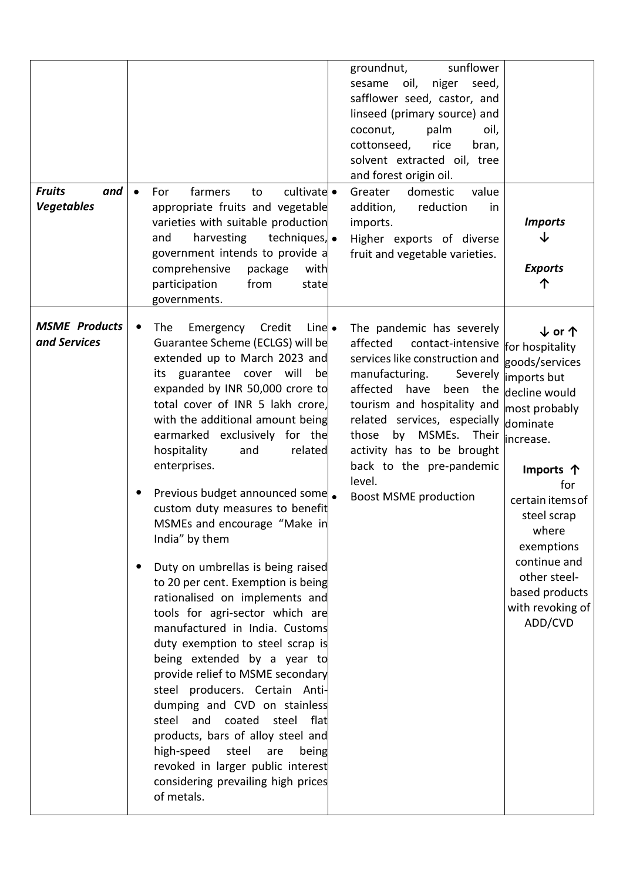| <b>Fruits</b><br>and<br><b>Vegetables</b> | cultivate •<br>farmers<br>For<br>to<br>$\bullet$<br>appropriate fruits and vegetable<br>varieties with suitable production<br>harvesting<br>techniques, •<br>and<br>government intends to provide a<br>comprehensive<br>package<br>with<br>participation<br>from<br>state<br>governments.                                                                                                                                                                                                                                                                                                                                                                                                                                                                                                                                                                                                                                                                                                                                                                           | sunflower<br>groundnut,<br>oil,<br>sesame<br>niger<br>seed,<br>safflower seed, castor, and<br>linseed (primary source) and<br>coconut,<br>palm<br>oil,<br>cottonseed,<br>rice<br>bran,<br>solvent extracted oil, tree<br>and forest origin oil.<br>Greater<br>domestic<br>value<br>addition,<br>reduction<br>in<br>imports.<br>Higher exports of diverse<br>fruit and vegetable varieties. | <b>Imports</b><br>J<br><b>Exports</b><br>ጥ                                                                                                                                                                                                                                                                   |
|-------------------------------------------|---------------------------------------------------------------------------------------------------------------------------------------------------------------------------------------------------------------------------------------------------------------------------------------------------------------------------------------------------------------------------------------------------------------------------------------------------------------------------------------------------------------------------------------------------------------------------------------------------------------------------------------------------------------------------------------------------------------------------------------------------------------------------------------------------------------------------------------------------------------------------------------------------------------------------------------------------------------------------------------------------------------------------------------------------------------------|--------------------------------------------------------------------------------------------------------------------------------------------------------------------------------------------------------------------------------------------------------------------------------------------------------------------------------------------------------------------------------------------|--------------------------------------------------------------------------------------------------------------------------------------------------------------------------------------------------------------------------------------------------------------------------------------------------------------|
| <b>MSME</b> Products<br>and Services      | Emergency<br>Credit<br>Line $\bullet$<br>The<br>$\bullet$<br>Guarantee Scheme (ECLGS) will be<br>extended up to March 2023 and<br>guarantee cover will<br>be<br>its<br>expanded by INR 50,000 crore to<br>total cover of INR 5 lakh crore,<br>with the additional amount being<br>earmarked exclusively for the<br>hospitality<br>and<br>related<br>enterprises.<br>Previous budget announced some<br>custom duty measures to benefit<br>MSMEs and encourage "Make in<br>India" by them<br>Duty on umbrellas is being raised<br>$\bullet$<br>to 20 per cent. Exemption is being<br>rationalised on implements and<br>tools for agri-sector which are<br>manufactured in India. Customs<br>duty exemption to steel scrap is<br>being extended by a year to<br>provide relief to MSME secondary<br>steel producers. Certain Anti-<br>dumping and CVD on stainless<br>steel and coated steel flat<br>products, bars of alloy steel and<br>high-speed<br>steel<br>are<br>being<br>revoked in larger public interest<br>considering prevailing high prices<br>of metals. | The pandemic has severely<br>contact-intensive<br>affected<br>services like construction and<br>manufacturing.<br>affected have<br>been the<br>tourism and hospitality and<br>related services, especially<br>those<br>MSMEs.<br>by<br>activity has to be brought<br>back to the pre-pandemic<br>level.<br><b>Boost MSME production</b>                                                    | ↓ or 个<br>for hospitality<br>goods/services<br>Severely  imports but<br>decline would<br>most probably<br>dominate<br>Their <i>increase</i> .<br>Imports 个<br>for<br>certain items of<br>steel scrap<br>where<br>exemptions<br>continue and<br>other steel-<br>based products<br>with revoking of<br>ADD/CVD |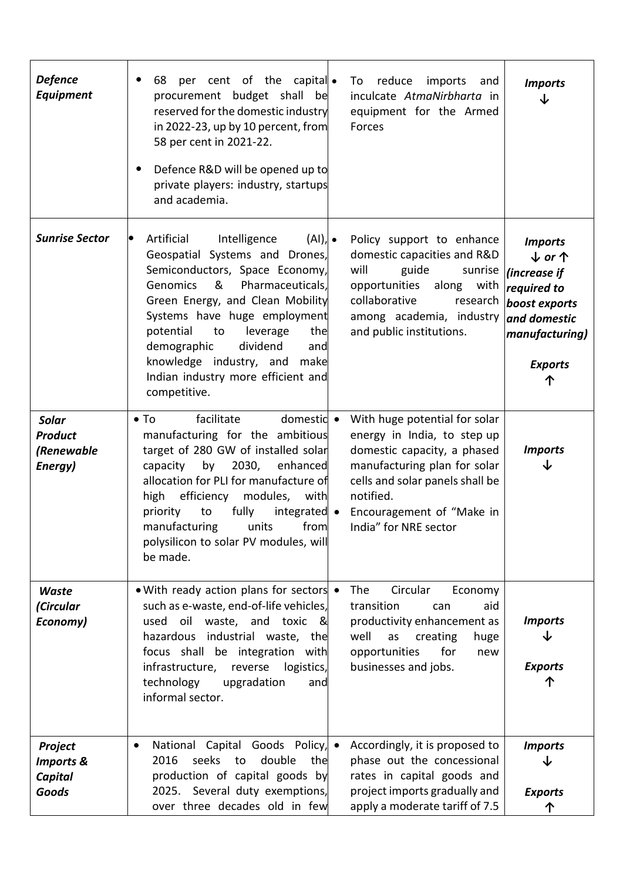| <b>Defence</b><br>Equipment                                | per cent of the capital<br>68<br>procurement budget shall be<br>reserved for the domestic industry<br>in 2022-23, up by 10 percent, from<br>58 per cent in 2021-22.<br>Defence R&D will be opened up to<br>$\bullet$<br>private players: industry, startups<br>and academia.                                                                                                                                    | reduce<br>imports<br>To<br>and<br>inculcate AtmaNirbharta in<br>equipment for the Armed<br>Forces                                                                                                                                 | <b>Imports</b><br>↓                                                                                                                              |
|------------------------------------------------------------|-----------------------------------------------------------------------------------------------------------------------------------------------------------------------------------------------------------------------------------------------------------------------------------------------------------------------------------------------------------------------------------------------------------------|-----------------------------------------------------------------------------------------------------------------------------------------------------------------------------------------------------------------------------------|--------------------------------------------------------------------------------------------------------------------------------------------------|
| <b>Sunrise Sector</b>                                      | Artificial<br>Intelligence<br>$(AI), \bullet$<br>$\bullet$<br>Geospatial Systems and Drones,<br>Semiconductors, Space Economy,<br>&<br><b>Genomics</b><br>Pharmaceuticals,<br>Green Energy, and Clean Mobility<br>Systems have huge employment<br>potential<br>to<br>leverage<br>the<br>demographic<br>dividend<br>and<br>knowledge industry, and<br>make<br>Indian industry more efficient and<br>competitive. | Policy support to enhance<br>domestic capacities and R&D<br>will<br>guide<br>sunrise<br>opportunities<br>with<br>along<br>collaborative<br>research<br>among academia, industry<br>and public institutions.                       | <b>Imports</b><br>$\downarrow$ or $\uparrow$<br>(increase if<br>required to<br>boost exports<br>and domestic<br>manufacturing)<br><b>Exports</b> |
| <b>Solar</b><br><b>Product</b><br>(Renewable<br>Energy)    | facilitate<br>domestic •<br>$\bullet$ To<br>manufacturing for the ambitious<br>target of 280 GW of installed solar<br>capacity by 2030,<br>enhanced<br>allocation for PLI for manufacture of<br>high efficiency modules,<br>with<br>priority<br>fully<br>integrated •<br>to<br>manufacturing units from<br>polysilicon to solar PV modules, will<br>be made.                                                    | With huge potential for solar<br>energy in India, to step up<br>domestic capacity, a phased<br>manufacturing plan for solar<br>cells and solar panels shall be<br>notified.<br>Encouragement of "Make in<br>India" for NRE sector | <b>Imports</b><br>↓                                                                                                                              |
| <b>Waste</b><br>(Circular<br>Economy)                      | • With ready action plans for sectors •<br>such as e-waste, end-of-life vehicles,<br>used oil waste, and toxic<br>୍ଷ<br>hazardous industrial waste, the<br>focus shall be integration with<br>infrastructure,<br>reverse<br>logistics,<br>technology<br>upgradation<br>and<br>informal sector.                                                                                                                  | The<br>Circular<br>Economy<br>transition<br>aid<br>can<br>productivity enhancement as<br>well<br>as<br>creating<br>huge<br>opportunities<br>for<br>new<br>businesses and jobs.                                                    | <b>Imports</b><br><b>Exports</b>                                                                                                                 |
| Project<br><b>Imports &amp;</b><br><b>Capital</b><br>Goods | National Capital Goods Policy, •<br>٠<br>seeks<br>2016<br>double<br>the<br>to<br>production of capital goods by<br>2025. Several duty exemptions,<br>over three decades old in few                                                                                                                                                                                                                              | Accordingly, it is proposed to<br>phase out the concessional<br>rates in capital goods and<br>project imports gradually and<br>apply a moderate tariff of 7.5                                                                     | <b>Imports</b><br><b>Exports</b>                                                                                                                 |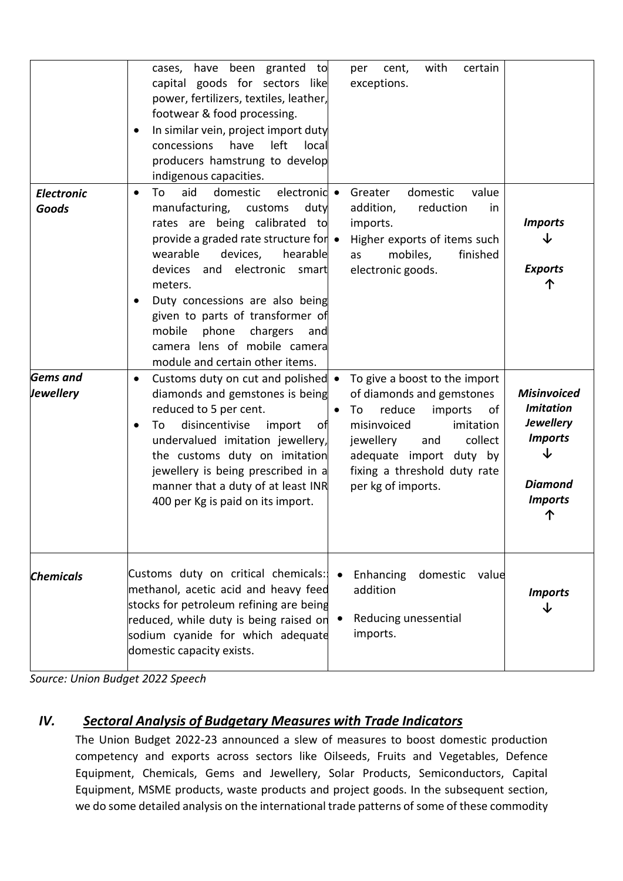|                                   | cases, have been granted to<br>cent,<br>per<br>capital goods for sectors like<br>exceptions.<br>power, fertilizers, textiles, leather,<br>footwear & food processing.<br>In similar vein, project import duty<br>have<br>left<br>concessions<br>local<br>producers hamstrung to develop<br>indigenous capacities.                                                                                                                                                                                       | with<br>certain                                                                                                                                                                                                                                                                                |
|-----------------------------------|---------------------------------------------------------------------------------------------------------------------------------------------------------------------------------------------------------------------------------------------------------------------------------------------------------------------------------------------------------------------------------------------------------------------------------------------------------------------------------------------------------|------------------------------------------------------------------------------------------------------------------------------------------------------------------------------------------------------------------------------------------------------------------------------------------------|
| <b>Electronic</b><br><b>Goods</b> | aid<br>domestic<br>Greater<br>To<br>electronic •<br>$\bullet$<br>manufacturing,<br>duty<br>addition,<br>customs<br>rates are being calibrated to<br>imports.<br>provide a graded rate structure for $\bullet$<br>wearable<br>devices,<br>hearable<br>as<br>devices and electronic smart<br>electronic goods.<br>meters.<br>Duty concessions are also being<br>given to parts of transformer of<br>mobile<br>phone<br>chargers<br>and<br>camera lens of mobile camera<br>module and certain other items. | domestic<br>value<br>reduction<br>in.<br><b>Imports</b><br>Higher exports of items such<br>finished<br>mobiles,<br><b>Exports</b>                                                                                                                                                              |
| <b>Gems</b> and<br>Jewellery      | Customs duty on cut and polished •<br>$\bullet$<br>diamonds and gemstones is being<br>reduced to 5 per cent.<br>reduce<br>To<br>disincentivise<br>misinvoiced<br>To<br>import<br>of<br>undervalued imitation jewellery,<br>jewellery<br>the customs duty on imitation<br>jewellery is being prescribed in a<br>manner that a duty of at least INR<br>per kg of imports.<br>400 per Kg is paid on its import.                                                                                            | To give a boost to the import<br>of diamonds and gemstones<br><b>Misinvoiced</b><br><b>Imitation</b><br>imports<br>οf<br><b>Jewellery</b><br>imitation<br><b>Imports</b><br>collect<br>and<br>↓<br>adequate import duty by<br>fixing a threshold duty rate<br><b>Diamond</b><br><b>Imports</b> |
| <b>Chemicals</b>                  | Customs duty on critical chemicals:<br>Enhancing<br>methanol, acetic acid and heavy feed<br>addition<br>stocks for petroleum refining are being<br>reduced, while duty is being raised on<br>imports.<br>sodium cyanide for which adequate<br>domestic capacity exists.                                                                                                                                                                                                                                 | domestic value<br><b>Imports</b><br>↓<br>Reducing unessential                                                                                                                                                                                                                                  |

*Source: Union Budget 2022 Speech*

### *IV. Sectoral Analysis of Budgetary Measures with Trade Indicators*

The Union Budget 2022-23 announced a slew of measures to boost domestic production competency and exports across sectors like Oilseeds, Fruits and Vegetables, Defence Equipment, Chemicals, Gems and Jewellery, Solar Products, Semiconductors, Capital Equipment, MSME products, waste products and project goods. In the subsequent section, we do some detailed analysis on the international trade patterns of some of these commodity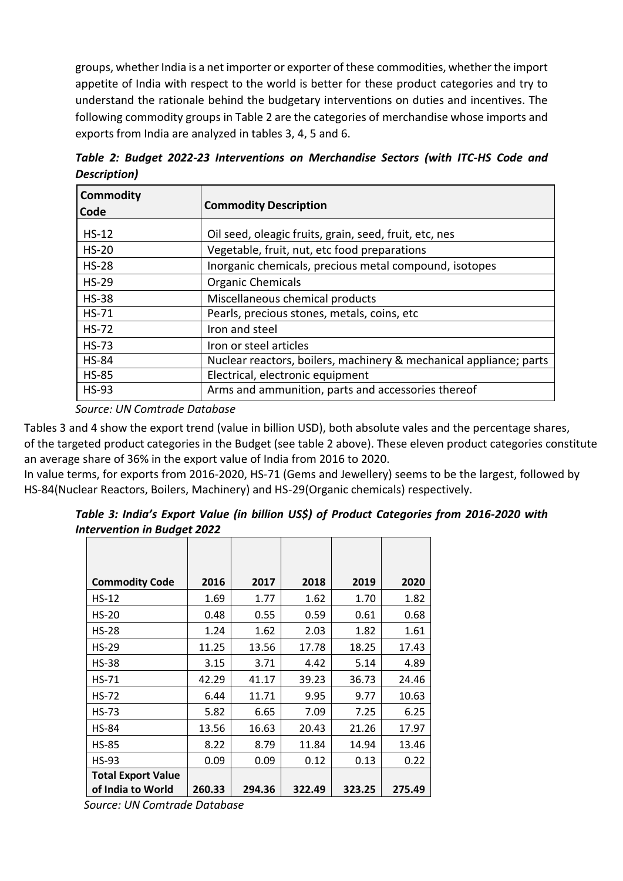groups, whether India is a net importer or exporter of these commodities, whether the import appetite of India with respect to the world is better for these product categories and try to understand the rationale behind the budgetary interventions on duties and incentives. The following commodity groups in Table 2 are the categories of merchandise whose imports and exports from India are analyzed in tables 3, 4, 5 and 6.

|              |  |  | Table 2: Budget 2022-23 Interventions on Merchandise Sectors (with ITC-HS Code and |  |  |  |
|--------------|--|--|------------------------------------------------------------------------------------|--|--|--|
| Description) |  |  |                                                                                    |  |  |  |

| <b>Commodity</b><br>Code | <b>Commodity Description</b>                                       |
|--------------------------|--------------------------------------------------------------------|
| $HS-12$                  | Oil seed, oleagic fruits, grain, seed, fruit, etc, nes             |
| $HS-20$                  | Vegetable, fruit, nut, etc food preparations                       |
| $HS-28$                  | Inorganic chemicals, precious metal compound, isotopes             |
| $HS-29$                  | <b>Organic Chemicals</b>                                           |
| $HS-38$                  | Miscellaneous chemical products                                    |
| $HS-71$                  | Pearls, precious stones, metals, coins, etc                        |
| $HS-72$                  | Iron and steel                                                     |
| $HS-73$                  | Iron or steel articles                                             |
| <b>HS-84</b>             | Nuclear reactors, boilers, machinery & mechanical appliance; parts |
| <b>HS-85</b>             | Electrical, electronic equipment                                   |
| <b>HS-93</b>             | Arms and ammunition, parts and accessories thereof                 |

*Source: UN Comtrade Database*

Tables 3 and 4 show the export trend (value in billion USD), both absolute vales and the percentage shares, of the targeted product categories in the Budget (see table 2 above). These eleven product categories constitute an average share of 36% in the export value of India from 2016 to 2020.

In value terms, for exports from 2016-2020, HS-71 (Gems and Jewellery) seems to be the largest, followed by HS-84(Nuclear Reactors, Boilers, Machinery) and HS-29(Organic chemicals) respectively.

*Table 3: India's Export Value (in billion US\$) of Product Categories from 2016-2020 with Intervention in Budget 2022*

| <b>Commodity Code</b>                          | 2016   | 2017   | 2018   | 2019   | 2020   |
|------------------------------------------------|--------|--------|--------|--------|--------|
| $HS-12$                                        | 1.69   | 1.77   | 1.62   | 1.70   | 1.82   |
| <b>HS-20</b>                                   | 0.48   | 0.55   | 0.59   | 0.61   | 0.68   |
| <b>HS-28</b>                                   | 1.24   | 1.62   | 2.03   | 1.82   | 1.61   |
| <b>HS-29</b>                                   | 11.25  | 13.56  | 17.78  | 18.25  | 17.43  |
| <b>HS-38</b>                                   | 3.15   | 3.71   | 4.42   | 5.14   | 4.89   |
| <b>HS-71</b>                                   | 42.29  | 41.17  | 39.23  | 36.73  | 24.46  |
| <b>HS-72</b>                                   | 6.44   | 11.71  | 9.95   | 9.77   | 10.63  |
| <b>HS-73</b>                                   | 5.82   | 6.65   | 7.09   | 7.25   | 6.25   |
| <b>HS-84</b>                                   | 13.56  | 16.63  | 20.43  | 21.26  | 17.97  |
| <b>HS-85</b>                                   | 8.22   | 8.79   | 11.84  | 14.94  | 13.46  |
| <b>HS-93</b>                                   | 0.09   | 0.09   | 0.12   | 0.13   | 0.22   |
| <b>Total Export Value</b><br>of India to World | 260.33 | 294.36 | 322.49 | 323.25 | 275.49 |

 *Source: UN Comtrade Database*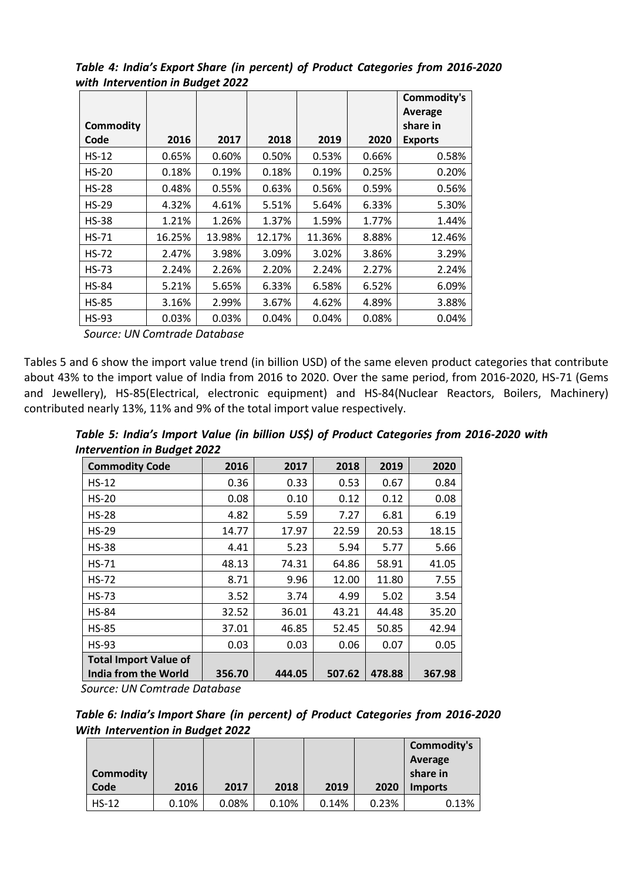*Table 4: India's Export Share (in percent) of Product Categories from 2016-2020 with Intervention in Budget 2022*

|                  |        |        |        |        |       | <b>Commodity's</b> |
|------------------|--------|--------|--------|--------|-------|--------------------|
|                  |        |        |        |        |       | Average            |
| <b>Commodity</b> |        |        |        |        |       | share in           |
| Code             | 2016   | 2017   | 2018   | 2019   | 2020  | <b>Exports</b>     |
| $HS-12$          | 0.65%  | 0.60%  | 0.50%  | 0.53%  | 0.66% | 0.58%              |
| <b>HS-20</b>     | 0.18%  | 0.19%  | 0.18%  | 0.19%  | 0.25% | 0.20%              |
| <b>HS-28</b>     | 0.48%  | 0.55%  | 0.63%  | 0.56%  | 0.59% | 0.56%              |
| $HS-29$          | 4.32%  | 4.61%  | 5.51%  | 5.64%  | 6.33% | 5.30%              |
| <b>HS-38</b>     | 1.21%  | 1.26%  | 1.37%  | 1.59%  | 1.77% | 1.44%              |
| <b>HS-71</b>     | 16.25% | 13.98% | 12.17% | 11.36% | 8.88% | 12.46%             |
| <b>HS-72</b>     | 2.47%  | 3.98%  | 3.09%  | 3.02%  | 3.86% | 3.29%              |
| <b>HS-73</b>     | 2.24%  | 2.26%  | 2.20%  | 2.24%  | 2.27% | 2.24%              |
| <b>HS-84</b>     | 5.21%  | 5.65%  | 6.33%  | 6.58%  | 6.52% | 6.09%              |
| <b>HS-85</b>     | 3.16%  | 2.99%  | 3.67%  | 4.62%  | 4.89% | 3.88%              |
| <b>HS-93</b>     | 0.03%  | 0.03%  | 0.04%  | 0.04%  | 0.08% | 0.04%              |
|                  |        |        |        |        |       |                    |

 *Source: UN Comtrade Database*

Tables 5 and 6 show the import value trend (in billion USD) of the same eleven product categories that contribute about 43% to the import value of India from 2016 to 2020. Over the same period, from 2016-2020, HS-71 (Gems and Jewellery), HS-85(Electrical, electronic equipment) and HS-84(Nuclear Reactors, Boilers, Machinery) contributed nearly 13%, 11% and 9% of the total import value respectively.

| Table 5: India's Import Value (in billion US\$) of Product Categories from 2016-2020 with |  |  |  |
|-------------------------------------------------------------------------------------------|--|--|--|
| Intervention in Budget 2022                                                               |  |  |  |

| ້<br><b>Commodity Code</b>   | 2016   | 2017   | 2018   | 2019   | 2020   |
|------------------------------|--------|--------|--------|--------|--------|
| $HS-12$                      | 0.36   | 0.33   | 0.53   | 0.67   | 0.84   |
| <b>HS-20</b>                 | 0.08   | 0.10   | 0.12   | 0.12   | 0.08   |
| $HS-28$                      | 4.82   | 5.59   | 7.27   | 6.81   | 6.19   |
| <b>HS-29</b>                 | 14.77  | 17.97  | 22.59  | 20.53  | 18.15  |
| <b>HS-38</b>                 | 4.41   | 5.23   | 5.94   | 5.77   | 5.66   |
| <b>HS-71</b>                 | 48.13  | 74.31  | 64.86  | 58.91  | 41.05  |
| <b>HS-72</b>                 | 8.71   | 9.96   | 12.00  | 11.80  | 7.55   |
| <b>HS-73</b>                 | 3.52   | 3.74   | 4.99   | 5.02   | 3.54   |
| <b>HS-84</b>                 | 32.52  | 36.01  | 43.21  | 44.48  | 35.20  |
| <b>HS-85</b>                 | 37.01  | 46.85  | 52.45  | 50.85  | 42.94  |
| <b>HS-93</b>                 | 0.03   | 0.03   | 0.06   | 0.07   | 0.05   |
| <b>Total Import Value of</b> |        |        |        |        |        |
| India from the World         | 356.70 | 444.05 | 507.62 | 478.88 | 367.98 |

 *Source: UN Comtrade Database*

| Table 6: India's Import Share (in percent) of Product Categories from 2016-2020 |  |  |
|---------------------------------------------------------------------------------|--|--|
| <b>With Intervention in Budget 2022</b>                                         |  |  |

| <b>Commodity</b> |       |       |       |       |       | Commodity's<br>Average<br>share in |
|------------------|-------|-------|-------|-------|-------|------------------------------------|
| Code             | 2016  | 2017  | 2018  | 2019  | 2020  | <b>Imports</b>                     |
| $HS-12$          | 0.10% | 0.08% | 0.10% | 0.14% | 0.23% | 0.13%                              |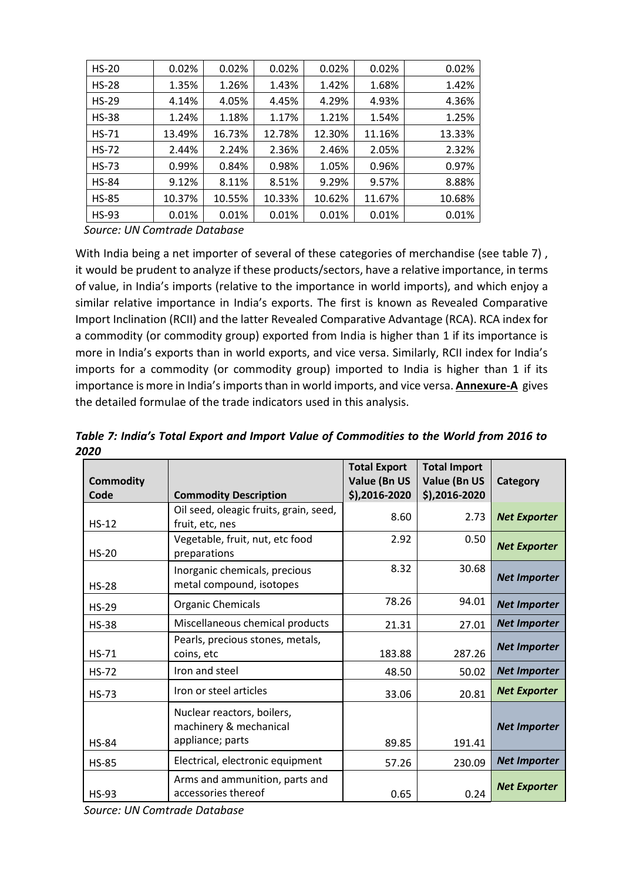| $HS-20$      | 0.02%  | 0.02%  | 0.02%  | 0.02%  | 0.02%  | 0.02%  |
|--------------|--------|--------|--------|--------|--------|--------|
| $HS-28$      | 1.35%  | 1.26%  | 1.43%  | 1.42%  | 1.68%  | 1.42%  |
| $HS-29$      | 4.14%  | 4.05%  | 4.45%  | 4.29%  | 4.93%  | 4.36%  |
| <b>HS-38</b> | 1.24%  | 1.18%  | 1.17%  | 1.21%  | 1.54%  | 1.25%  |
| $HS-71$      | 13.49% | 16.73% | 12.78% | 12.30% | 11.16% | 13.33% |
| <b>HS-72</b> | 2.44%  | 2.24%  | 2.36%  | 2.46%  | 2.05%  | 2.32%  |
| $HS-73$      | 0.99%  | 0.84%  | 0.98%  | 1.05%  | 0.96%  | 0.97%  |
| <b>HS-84</b> | 9.12%  | 8.11%  | 8.51%  | 9.29%  | 9.57%  | 8.88%  |
| <b>HS-85</b> | 10.37% | 10.55% | 10.33% | 10.62% | 11.67% | 10.68% |
| <b>HS-93</b> | 0.01%  | 0.01%  | 0.01%  | 0.01%  | 0.01%  | 0.01%  |

 *Source: UN Comtrade Database*

With India being a net importer of several of these categories of merchandise (see table 7), it would be prudent to analyze if these products/sectors, have a relative importance, in terms of value, in India's imports (relative to the importance in world imports), and which enjoy a similar relative importance in India's exports. The first is known as Revealed Comparative Import Inclination (RCII) and the latter Revealed Comparative Advantage (RCA). RCA index for a commodity (or commodity group) exported from India is higher than 1 if its importance is more in India's exports than in world exports, and vice versa. Similarly, RCII index for India's imports for a commodity (or commodity group) imported to India is higher than 1 if its importance is more in India's imports than in world imports, and vice versa. **Annexure-A** gives the detailed formulae of the trade indicators used in this analysis.

*Table 7: India's Total Export and Import Value of Commodities to the World from 2016 to 2020*

| <b>Commodity</b> |                                                                          | <b>Total Export</b><br><b>Value (Bn US</b> | <b>Total Import</b><br>Value (Bn US | Category            |
|------------------|--------------------------------------------------------------------------|--------------------------------------------|-------------------------------------|---------------------|
| Code             | <b>Commodity Description</b>                                             | $$)$ ,2016-2020                            | $$)$ , 2016-2020                    |                     |
| $HS-12$          | Oil seed, oleagic fruits, grain, seed,<br>fruit, etc, nes                | 8.60                                       | 2.73                                | <b>Net Exporter</b> |
| $HS-20$          | Vegetable, fruit, nut, etc food<br>preparations                          | 2.92                                       | 0.50                                | <b>Net Exporter</b> |
| $HS-28$          | Inorganic chemicals, precious<br>metal compound, isotopes                | 8.32                                       | 30.68                               | <b>Net Importer</b> |
| $HS-29$          | <b>Organic Chemicals</b>                                                 | 78.26                                      | 94.01                               | <b>Net Importer</b> |
| <b>HS-38</b>     | Miscellaneous chemical products                                          | 21.31                                      | 27.01                               | <b>Net Importer</b> |
| $HS-71$          | Pearls, precious stones, metals,<br>coins, etc                           | 183.88                                     | 287.26                              | <b>Net Importer</b> |
| $HS-72$          | Iron and steel                                                           | 48.50                                      | 50.02                               | <b>Net Importer</b> |
| <b>HS-73</b>     | Iron or steel articles                                                   | 33.06                                      | 20.81                               | <b>Net Exporter</b> |
| <b>HS-84</b>     | Nuclear reactors, boilers,<br>machinery & mechanical<br>appliance; parts | 89.85                                      | 191.41                              | <b>Net Importer</b> |
| <b>HS-85</b>     | Electrical, electronic equipment                                         | 57.26                                      | 230.09                              | <b>Net Importer</b> |
| <b>HS-93</b>     | Arms and ammunition, parts and<br>accessories thereof                    | 0.65                                       | 0.24                                | <b>Net Exporter</b> |

*Source: UN Comtrade Database*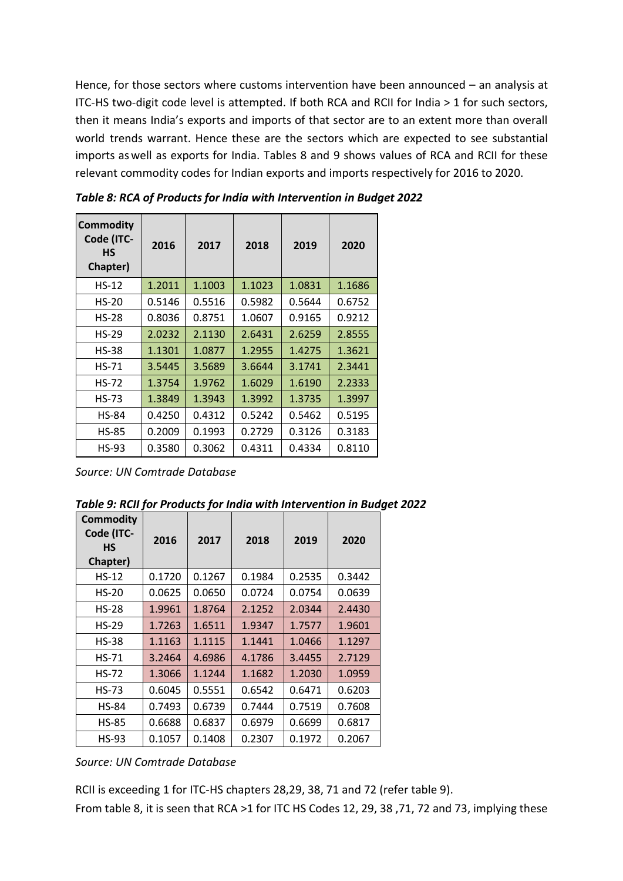Hence, for those sectors where customs intervention have been announced – an analysis at ITC-HS two-digit code level is attempted. If both RCA and RCII for India > 1 for such sectors, then it means India's exports and imports of that sector are to an extent more than overall world trends warrant. Hence these are the sectors which are expected to see substantial imports as well as exports for India. Tables 8 and 9 shows values of RCA and RCII for these relevant commodity codes for Indian exports and imports respectively for 2016 to 2020.

| <b>Commodity</b><br>Code (ITC-<br>НS<br>Chapter) | 2016   | 2017   | 2018   | 2019   | 2020   |
|--------------------------------------------------|--------|--------|--------|--------|--------|
| $HS-12$                                          | 1.2011 | 1.1003 | 1.1023 | 1.0831 | 1.1686 |
| $HS-20$                                          | 0.5146 | 0.5516 | 0.5982 | 0.5644 | 0.6752 |
| <b>HS-28</b>                                     | 0.8036 | 0.8751 | 1.0607 | 0.9165 | 0.9212 |
| $HS-29$                                          | 2.0232 | 2.1130 | 2.6431 | 2.6259 | 2.8555 |
| <b>HS-38</b>                                     | 1.1301 | 1.0877 | 1.2955 | 1.4275 | 1.3621 |
| $HS-71$                                          | 3.5445 | 3.5689 | 3.6644 | 3.1741 | 2.3441 |
| $HS-72$                                          | 1.3754 | 1.9762 | 1.6029 | 1.6190 | 2.2333 |
| <b>HS-73</b>                                     | 1.3849 | 1.3943 | 1.3992 | 1.3735 | 1.3997 |
| <b>HS-84</b>                                     | 0.4250 | 0.4312 | 0.5242 | 0.5462 | 0.5195 |
| <b>HS-85</b>                                     | 0.2009 | 0.1993 | 0.2729 | 0.3126 | 0.3183 |
| HS-93                                            | 0.3580 | 0.3062 | 0.4311 | 0.4334 | 0.8110 |

*Table 8: RCA of Products for India with Intervention in Budget 2022*

*Source: UN Comtrade Database*

| Table 9: RCII for Products for India with Intervention in Budget 2022 |  |
|-----------------------------------------------------------------------|--|
|-----------------------------------------------------------------------|--|

| <b>Commodity</b><br>Code (ITC-<br>HS<br>Chapter) | 2016   | 2017   | 2018   | 2019   | 2020   |
|--------------------------------------------------|--------|--------|--------|--------|--------|
| $HS-12$                                          | 0.1720 | 0.1267 | 0.1984 | 0.2535 | 0.3442 |
| $HS-20$                                          | 0.0625 | 0.0650 | 0.0724 | 0.0754 | 0.0639 |
| $HS-28$                                          | 1.9961 | 1.8764 | 2.1252 | 2.0344 | 2.4430 |
| $HS-29$                                          | 1.7263 | 1.6511 | 1.9347 | 1.7577 | 1.9601 |
| <b>HS-38</b>                                     | 1.1163 | 1.1115 | 1.1441 | 1.0466 | 1.1297 |
| $HS-71$                                          | 3.2464 | 4.6986 | 4.1786 | 3.4455 | 2.7129 |
| $HS-72$                                          | 1.3066 | 1.1244 | 1.1682 | 1.2030 | 1.0959 |
| <b>HS-73</b>                                     | 0.6045 | 0.5551 | 0.6542 | 0.6471 | 0.6203 |
| <b>HS-84</b>                                     | 0.7493 | 0.6739 | 0.7444 | 0.7519 | 0.7608 |
| <b>HS-85</b>                                     | 0.6688 | 0.6837 | 0.6979 | 0.6699 | 0.6817 |
| HS-93                                            | 0.1057 | 0.1408 | 0.2307 | 0.1972 | 0.2067 |

*Source: UN Comtrade Database*

RCII is exceeding 1 for ITC-HS chapters 28,29, 38, 71 and 72 (refer table 9).

From table 8, it is seen that RCA >1 for ITC HS Codes 12, 29, 38 ,71, 72 and 73, implying these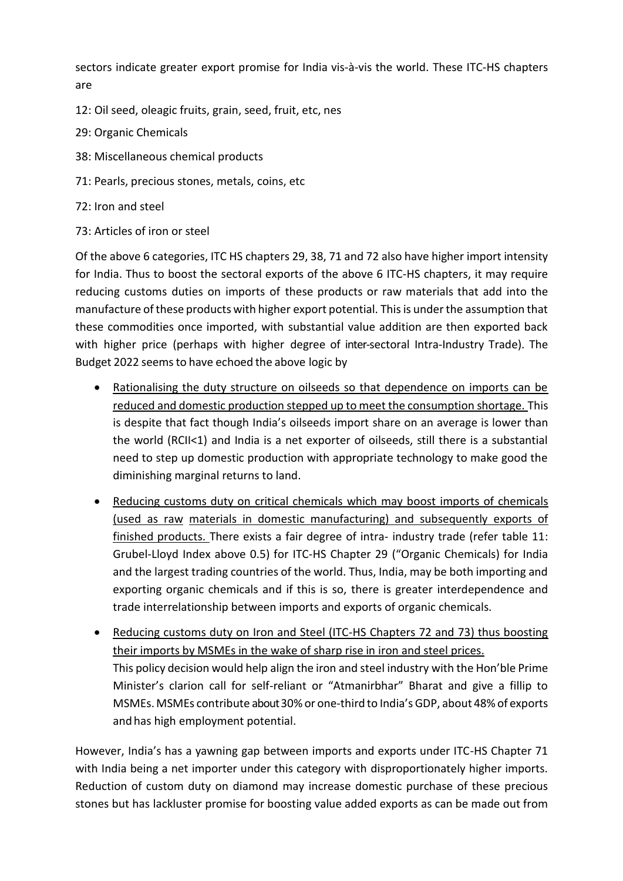sectors indicate greater export promise for India vis-à-vis the world. These ITC-HS chapters are

- 12: Oil seed, oleagic fruits, grain, seed, fruit, etc, nes
- 29: Organic Chemicals
- 38: Miscellaneous chemical products
- 71: Pearls, precious stones, metals, coins, etc
- 72: Iron and steel
- 73: Articles of iron or steel

Of the above 6 categories, ITC HS chapters 29, 38, 71 and 72 also have higher import intensity for India. Thus to boost the sectoral exports of the above 6 ITC-HS chapters, it may require reducing customs duties on imports of these products or raw materials that add into the manufacture ofthese products with higher export potential. This is under the assumption that these commodities once imported, with substantial value addition are then exported back with higher price (perhaps with higher degree of inter-sectoral Intra-Industry Trade). The Budget 2022 seems to have echoed the above logic by

- Rationalising the duty structure on oilseeds so that dependence on imports can be reduced and domestic production stepped up to meet the consumption shortage. This is despite that fact though India's oilseeds import share on an average is lower than the world (RCII<1) and India is a net exporter of oilseeds, still there is a substantial need to step up domestic production with appropriate technology to make good the diminishing marginal returns to land.
- Reducing customs duty on critical chemicals which may boost imports of chemicals (used as raw materials in domestic manufacturing) and subsequently exports of finished products. There exists a fair degree of intra- industry trade (refer table 11: Grubel-Lloyd Index above 0.5) for ITC-HS Chapter 29 ("Organic Chemicals) for India and the largest trading countries of the world. Thus, India, may be both importing and exporting organic chemicals and if this is so, there is greater interdependence and trade interrelationship between imports and exports of organic chemicals.
- Reducing customs duty on Iron and Steel (ITC-HS Chapters 72 and 73) thus boosting their imports by MSMEs in the wake of sharp rise in iron and steel prices. This policy decision would help align the iron and steel industry with the Hon'ble Prime Minister's clarion call for self-reliant or "Atmanirbhar" Bharat and give a fillip to MSMEs.MSMEs contribute about 30% or one-third to India's GDP, about 48% of exports and has high employment potential.

However, India's has a yawning gap between imports and exports under ITC-HS Chapter 71 with India being a net importer under this category with disproportionately higher imports. Reduction of custom duty on diamond may increase domestic purchase of these precious stones but has lackluster promise for boosting value added exports as can be made out from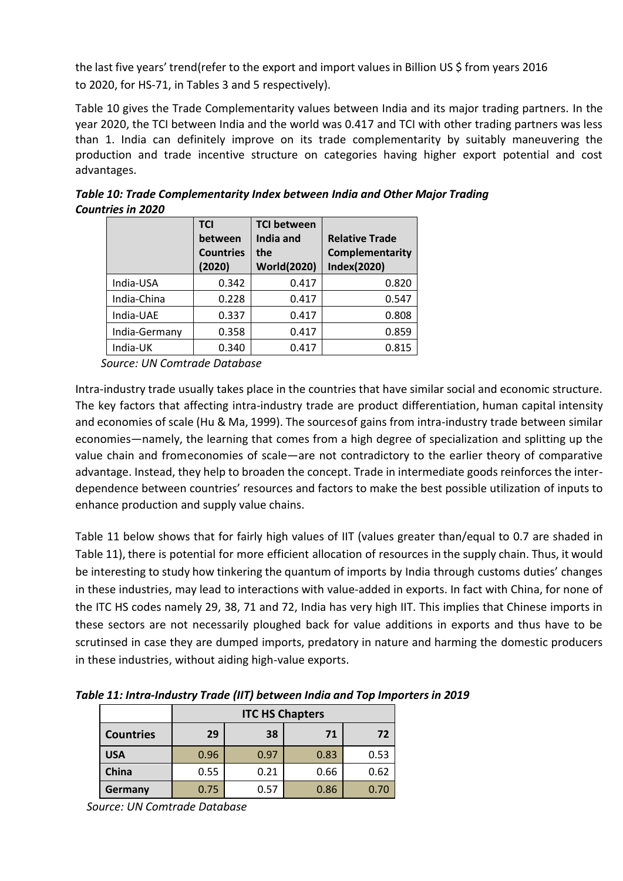the last five years' trend(refer to the export and import values in Billion US \$ from years 2016 to 2020, for HS-71, in Tables 3 and 5 respectively).

Table 10 gives the Trade Complementarity values between India and its major trading partners. In the year 2020, the TCI between India and the world was 0.417 and TCI with other trading partners was less than 1. India can definitely improve on its trade complementarity by suitably maneuvering the production and trade incentive structure on categories having higher export potential and cost advantages.

|               | <b>TCI</b>       | <b>TCI between</b> |                       |  |
|---------------|------------------|--------------------|-----------------------|--|
|               | between          | India and          | <b>Relative Trade</b> |  |
|               | <b>Countries</b> | the                | Complementarity       |  |
|               | (2020)           | <b>World(2020)</b> | Index(2020)           |  |
| India-USA     | 0.342            | 0.417              | 0.820                 |  |
| India-China   | 0.228            | 0.417              | 0.547                 |  |
| India-UAE     | 0.337            | 0.417              | 0.808                 |  |
| India-Germany | 0.358            | 0.417              | 0.859                 |  |
| India-UK      | 0.340            | 0.417              | 0.815                 |  |

*Table 10: Trade Complementarity Index between India and Other Major Trading Countries in 2020*

 *Source: UN Comtrade Database*

Intra-industry trade usually takes place in the countries that have similar social and economic structure. The key factors that affecting intra-industry trade are product differentiation, human capital intensity and economies of scale (Hu & Ma, 1999). The sources of gains from intra-industry trade between similar economies—namely, the learning that comes from a high degree of specialization and splitting up the value chain and from economies of scale—are not contradictory to the earlier theory of comparative advantage. Instead, they help to broaden the concept. Trade in intermediate goods reinforces the interdependence between countries' resources and factors to make the best possible utilization of inputs to enhance production and supply value chains.

Table 11 below shows that for fairly high values of IIT (values greater than/equal to 0.7 are shaded in Table 11), there is potential for more efficient allocation of resources in the supply chain. Thus, it would be interesting to study how tinkering the quantum of imports by India through customs duties' changes in these industries, may lead to interactions with value-added in exports. In fact with China, for none of the ITC HS codes namely 29, 38, 71 and 72, India has very high IIT. This implies that Chinese imports in these sectors are not necessarily ploughed back for value additions in exports and thus have to be scrutinsed in case they are dumped imports, predatory in nature and harming the domestic producers in these industries, without aiding high-value exports.

*Table 11: Intra-Industry Trade (IIT) between India and Top Importers in 2019*

|                  | <b>ITC HS Chapters</b> |      |      |      |
|------------------|------------------------|------|------|------|
| <b>Countries</b> | 29                     | 38   | 71   | 72   |
| <b>USA</b>       | 0.96                   | 0.97 | 0.83 | 0.53 |
| China            | 0.55                   | 0.21 | 0.66 | 0.62 |
| <b>Germany</b>   | 0.75                   | 0.57 | 0.86 | 0.70 |

 *Source: UN Comtrade Database*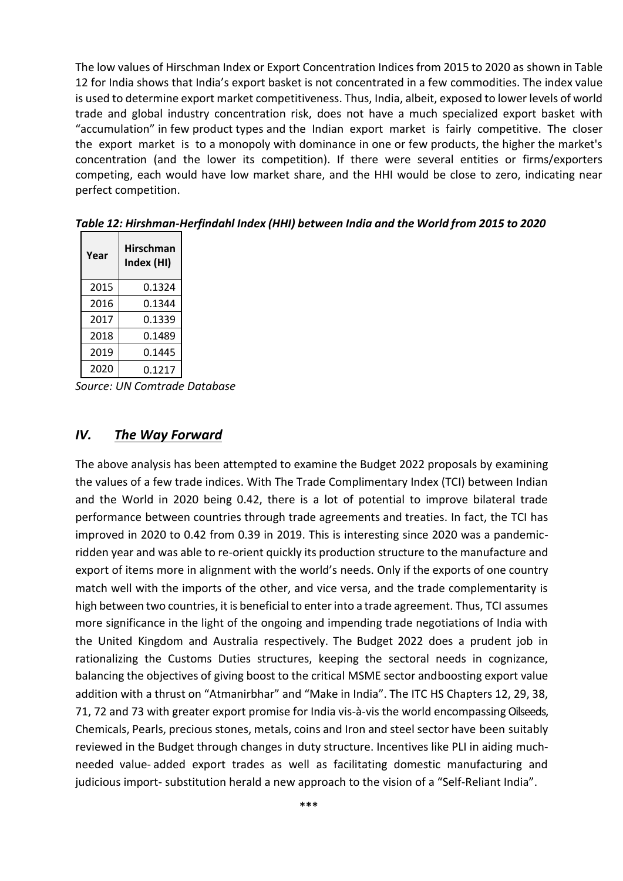The low values of Hirschman Index or Export Concentration Indices from 2015 to 2020 as shown in Table 12 for India shows that India's export basket is not concentrated in a few commodities. The index value is used to determine export market competitiveness. Thus, India, albeit, exposed to lower levels of world trade and global industry concentration risk, does not have a much specialized export basket with "accumulation" in few product types and the Indian export market is fairly competitive. The closer the export market is to a [monopoly w](https://www.investopedia.com/terms/m/monopoly.asp)ith dominance in one or few products, the higher the market's concentration (and the lower its competition). If there were several entities or firms/exporters competing, each would have low market share, and the HHI would be close to zero, indicating near perfect competition.

| Year | Hirschman<br>Index (HI) |  |  |
|------|-------------------------|--|--|
| 2015 | 0.1324                  |  |  |
| 2016 | 0.1344                  |  |  |
| 2017 | 0.1339                  |  |  |
| 2018 | 0.1489                  |  |  |
| 2019 | 0.1445                  |  |  |
| 2020 | 0.1217                  |  |  |

*Table 12: Hirshman-Herfindahl Index (HHI) between India and the World from 2015 to 2020*

 *Source: UN Comtrade Database*

#### *IV. The Way Forward*

The above analysis has been attempted to examine the Budget 2022 proposals by examining the values of a few trade indices. With The Trade Complimentary Index (TCI) between Indian and the World in 2020 being 0.42, there is a lot of potential to improve bilateral trade performance between countries through trade agreements and treaties. In fact, the TCI has improved in 2020 to 0.42 from 0.39 in 2019. This is interesting since 2020 was a pandemicridden year and was able to re-orient quickly its production structure to the manufacture and export of items more in alignment with the world's needs. Only if the exports of one country match well with the imports of the other, and vice versa, and the trade complementarity is high between two countries, it is beneficial to enter into a trade agreement. Thus, TCI assumes more significance in the light of the ongoing and impending trade negotiations of India with the United Kingdom and Australia respectively. The Budget 2022 does a prudent job in rationalizing the Customs Duties structures, keeping the sectoral needs in cognizance, balancing the objectives of giving boost to the critical MSME sector andboosting export value addition with a thrust on "Atmanirbhar" and "Make in India". The ITC HS Chapters 12, 29, 38, 71, 72 and 73 with greater export promise for India vis-à-vis the world encompassing Oilseeds, Chemicals, Pearls, precious stones, metals, coins and Iron and steel sector have been suitably reviewed in the Budget through changes in duty structure. Incentives like PLI in aiding muchneeded value- added export trades as well as facilitating domestic manufacturing and judicious import- substitution herald a new approach to the vision of a "Self-Reliant India".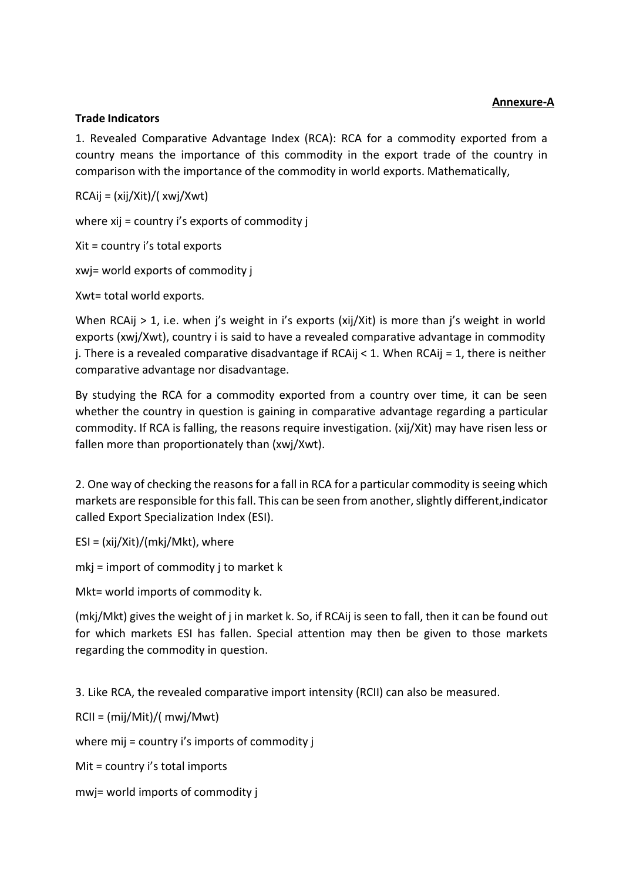#### **Annexure-A**

#### **Trade Indicators**

1. Revealed Comparative Advantage Index (RCA): RCA for a commodity exported from a country means the importance of this commodity in the export trade of the country in comparison with the importance of the commodity in world exports. Mathematically,

RCAij = (xij/Xit)/( xwj/Xwt)

where xij = country i's exports of commodity j

Xit = country i's total exports

xwj= world exports of commodity j

Xwt= total world exports.

When RCAij > 1, i.e. when j's weight in i's exports (xij/Xit) is more than j's weight in world exports (xwj/Xwt), country i is said to have a revealed comparative advantage in commodity j. There is a revealed comparative disadvantage if RCAij < 1. When RCAij = 1, there is neither comparative advantage nor disadvantage.

By studying the RCA for a commodity exported from a country over time, it can be seen whether the country in question is gaining in comparative advantage regarding a particular commodity. If RCA is falling, the reasons require investigation. (xij/Xit) may have risen less or fallen more than proportionately than (xwj/Xwt).

2. One way of checking the reasons for a fall in RCA for a particular commodity is seeing which markets are responsible for this fall. This can be seen from another, slightly different, indicator called Export Specialization Index (ESI).

ESI = (xij/Xit)/(mkj/Mkt), where

mkj = import of commodity j to market k

Mkt= world imports of commodity k.

(mkj/Mkt) gives the weight of j in market k. So, if RCAij is seen to fall, then it can be found out for which markets ESI has fallen. Special attention may then be given to those markets regarding the commodity in question.

3. Like RCA, the revealed comparative import intensity (RCII) can also be measured.

RCII = (mij/Mit)/( mwj/Mwt)

where mij = country i's imports of commodity j

Mit = country i's total imports

mwj= world imports of commodity j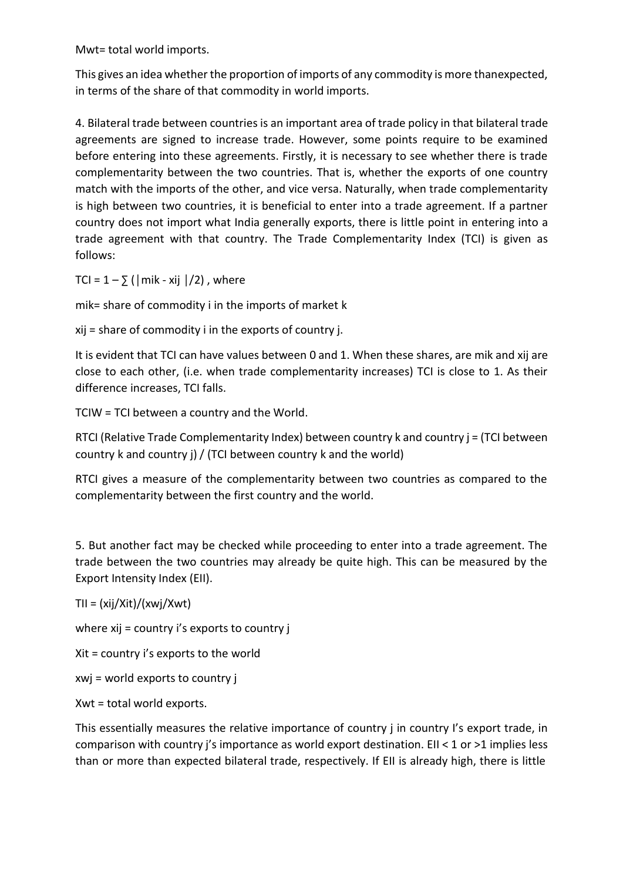Mwt= total world imports.

This gives an idea whether the proportion of imports of any commodity is more thanexpected, in terms of the share of that commodity in world imports.

4. Bilateral trade between countries is an important area of trade policy in that bilateral trade agreements are signed to increase trade. However, some points require to be examined before entering into these agreements. Firstly, it is necessary to see whether there is trade complementarity between the two countries. That is, whether the exports of one country match with the imports of the other, and vice versa. Naturally, when trade complementarity is high between two countries, it is beneficial to enter into a trade agreement. If a partner country does not import what India generally exports, there is little point in entering into a trade agreement with that country. The Trade Complementarity Index (TCI) is given as follows:

TCI =  $1 - \sum$  ( | mik - xij |/2), where

mik= share of commodity i in the imports of market k

xij = share of commodity i in the exports of country j.

It is evident that TCI can have values between 0 and 1. When these shares, are mik and xij are close to each other, (i.e. when trade complementarity increases) TCI is close to 1. As their difference increases, TCI falls.

TCIW = TCI between a country and the World.

RTCI (Relative Trade Complementarity Index) between country k and country  $j = (TCI)$  between country k and country j) / (TCI between country k and the world)

RTCI gives a measure of the complementarity between two countries as compared to the complementarity between the first country and the world.

5. But another fact may be checked while proceeding to enter into a trade agreement. The trade between the two countries may already be quite high. This can be measured by the Export Intensity Index (EII).

 $TII = (xij/Xit)/(xwij/Xwt)$ 

where xij = country i's exports to country j

Xit = country i's exports to the world

xwj = world exports to country j

Xwt = total world exports.

This essentially measures the relative importance of country j in country I's export trade, in comparison with country j's importance as world export destination. EII < 1 or >1 implies less than or more than expected bilateral trade, respectively. If EII is already high, there is little